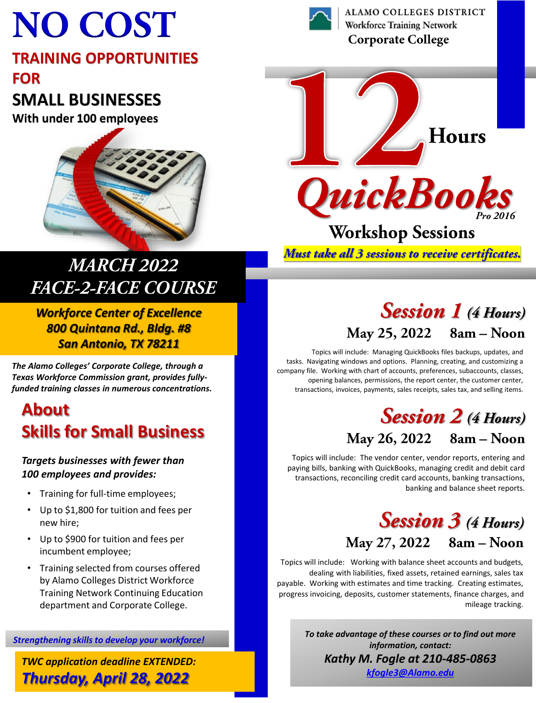# **NO COST**

#### **TRAINING OPPORTUNITIES FOR**

## **SMALL BUSINESSES**

**With under 100 employees**



## **MARCH 2022 FACE-2-FACE COURSE**

*Workforce Center of Excellence 800 Quintana Rd., Bldg. #8 San Antonio, TX 78211*

*The Alamo Colleges' Corporate College, through a Texas Workforce Commission grant, provides fullyfunded training classes in numerous concentrations.* 

## **About Skills for Small Business**

#### *Targets businesses with fewer than 100 employees and provides:*

- Training for full-time employees;
- Up to \$1,800 for tuition and fees per new hire;
- Up to \$900 for tuition and fees per incumbent employee;
- Training selected from courses offered by Alamo Colleges District Workforce Training Network Continuing Education department and Corporate College.

*Strengthening skills to develop your workforce!*

*TWC application deadline EXTENDED: Thursday, April 28, 2022*



**ALAMO COLLEGES DISTRICT Workforce Training Network Corporate College** 



Must take all 3 sessions to receive certificates.

## **Session 1** (4 Hours) May 25, 2022 8am - Noon

Topics will include: Managing QuickBooks files backups, updates, and tasks. Navigating windows and options. Planning, creating, and customizing a company file. Working with chart of accounts, preferences, subaccounts, classes, opening balances, permissions, the report center, the customer center, transactions, invoices, payments, sales receipts, sales tax, and selling items.

#### **Session 2** (4 Hours) May 26, 2022 8am - Noon

Topics will include: The vendor center, vendor reports, entering and paying bills, banking with QuickBooks, managing credit and debit card transactions, reconciling credit card accounts, banking transactions, banking and balance sheet reports.

## **Session 3** (4 Hours) May 27, 2022 8am - Noon

Topics will include: Working with balance sheet accounts and budgets, dealing with liabilities, fixed assets, retained earnings, sales tax payable. Working with estimates and time tracking. Creating estimates, progress invoicing, deposits, customer statements, finance charges, and mileage tracking.

> *To take advantage of these courses or to find out more information, contact: Kathy M. Fogle at 210-485-0863 [kfogle3@Alamo.edu](mailto:kfogle3@Alamo.edu)*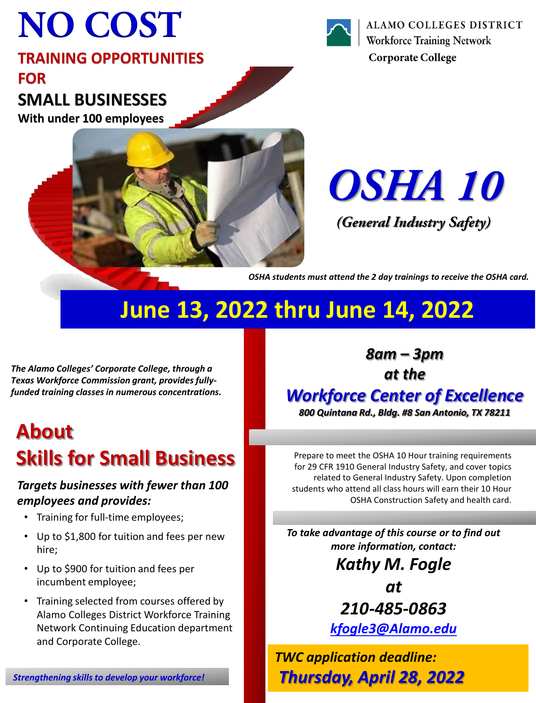# **NO COST**

#### **TRAINING OPPORTUNITIES FOR SMALL BUSINESSES**

**With under 100 employees**





ALAMO COLLEGES DISTRICT **Workforce Training Network Corporate College** 

OSHA 10

*(General Industry Safety)* 

*OSHA students must attend the 2 day trainings to receive the OSHA card.*

*8am – 3pm at the*

*Workforce Center of Excellence 800 Quintana Rd., Bldg. #8 San Antonio, TX 78211*

Prepare to meet the OSHA 10 Hour training requirements for 29 CFR 1910 General Industry Safety, and cover topics related to General Industry Safety. Upon completion students who attend all class hours will earn their 10 Hour

OSHA Construction Safety and health card.

# **June 13, 2022 thru June 14, 2022**

*The Alamo Colleges' Corporate College, through a Texas Workforce Commission grant, provides fullyfunded training classes in numerous concentrations.* 

# **About Skills for Small Business**

#### *Targets businesses with fewer than 100 employees and provides:*

- Training for full-time employees;
- Up to \$1,800 for tuition and fees per new hire;
- Up to \$900 for tuition and fees per incumbent employee;
- Training selected from courses offered by Alamo Colleges District Workforce Training Network Continuing Education department and Corporate College.

*210-485-0863*

*To take advantage of this course or to find out more information, contact:*

*Kathy M. Fogle* 

*at* 

*[kfogle3@Alamo.edu](mailto:kfogle3@Alamo.edu)*

*TWC application deadline: Thursday, April 28, 2022*